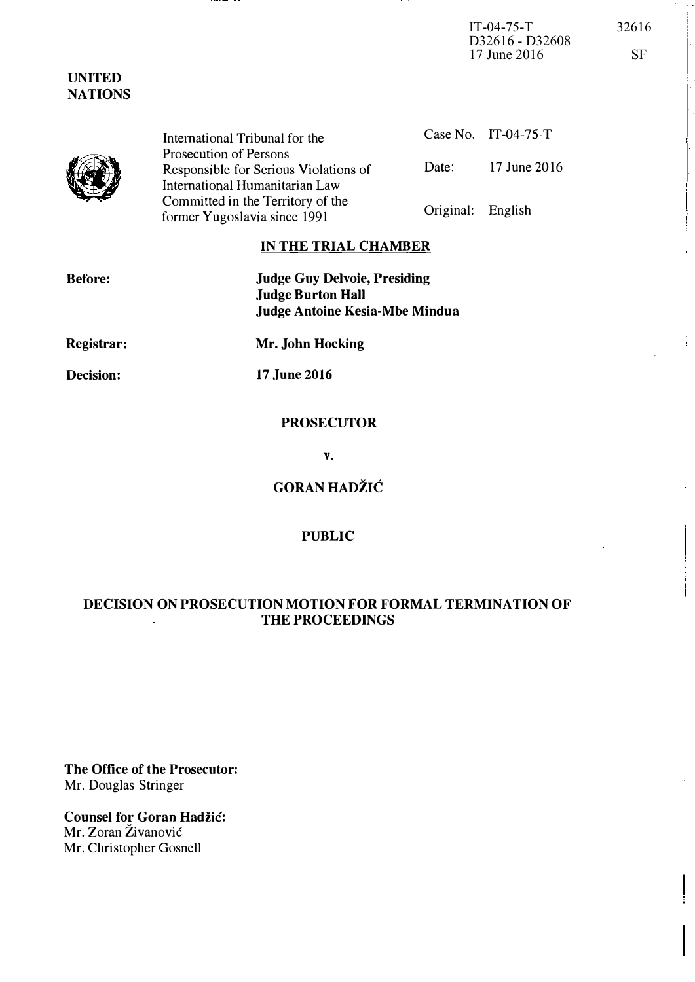IT-04-75-T 32616 D32616 - D32608 17 June 2016 SF

and the same of the

UNITED NATIONS

 $\sum_{i=1}^{n}$ 

|  | International Tribunal for the        |                   | Case No. $\left[1\right]$ -04-75-T |
|--|---------------------------------------|-------------------|------------------------------------|
|  | Prosecution of Persons                |                   |                                    |
|  | Responsible for Serious Violations of | Date:             | 17 June 2016                       |
|  | International Humanitarian Law        |                   |                                    |
|  | Committed in the Territory of the     | Original: English |                                    |
|  | former Yugoslavia since 1991          |                   |                                    |

## IN THE TRIAL CHAMBER

| <b>Before:</b> | <b>Judge Guy Delvoie, Presiding</b><br><b>Judge Burton Hall</b><br>Judge Antoine Kesia-Mbe Mindua |
|----------------|---------------------------------------------------------------------------------------------------|
| Registrar:     | Mr. John Hocking                                                                                  |
| Decision:      | 17 June 2016                                                                                      |
|                |                                                                                                   |

# PROSECUTOR

v.

**GORAN HADŽIĆ** 

### PUBLIC

# DECISION ON PROSECUTION MOTION FOR FORMAL TERMINATION OF THE PROCEEDINGS

The Office of the Prosecutor: Mr. Douglas Stringer

Counsel for Goran Hadžić: Mr. Zoran Živanović Mr. Christopher Gosnell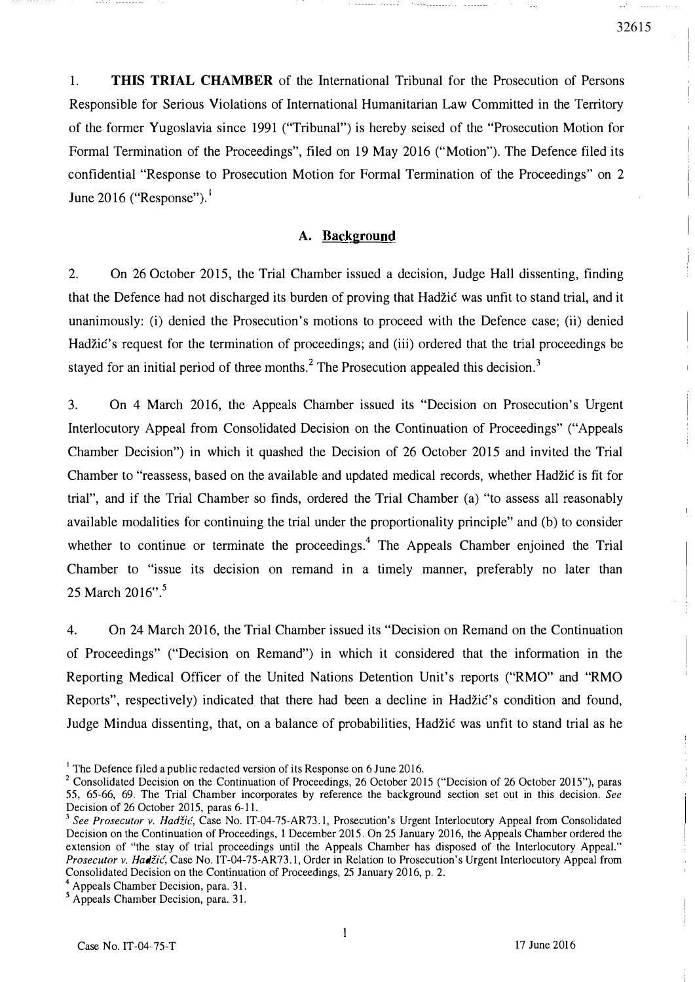1. THIS TRIAL CHAMBER of the International Tribunal for the Prosecution of Persons Responsible for Serious Violations of International Humanitarian Law Committed in the Territory of the former Yugoslavia since 1991 ("Tribunal") is hereby seised of the "Prosecution Motion for Formal Termination of the Proceedings", filed on 19 May 2016 ("Motion"). The Defence filed its confidential "Response to Prosecution Motion for Formal Termination of the Proceedings" on 2 June 2016 ("Response").

### A. Background

2. On 26 October 2015, the Trial Chamber issued a decision, Judge Hall dissenting, finding that the Defence had not discharged its burden of proving that Hadzic was unfit to stand trial, and it unanimously: (i) denied the Prosecution's motions to proceed with the Defence case; (ii) denied Hadžić's request for the termination of proceedings; and (iii) ordered that the trial proceedings be stayed for an initial period of three months.<sup>2</sup> The Prosecution appealed this decision.<sup>3</sup>

3. On 4 March 2016, the Appeals Chamber issued its "Decision on Prosecution's Urgent Interlocutory Appeal from Consolidated Decision on the Continuation of Proceedings" ("Appeals Chamber Decision") in which it quashed the Decision of 26 October 2015 and invited the Trial Chamber to "reassess, based on the available and updated medical records, whether Hadžić is fit for trial", and if the Trial Chamber so finds, ordered the Trial Chamber (a) "to assess all reasonably available modalities for continuing the trial under the proportionality principle" and (b) to consider whether to continue or terminate the proceedings.<sup>4</sup> The Appeals Chamber enjoined the Trial Chamber to "issue its decision on remand in a timely manner, preferably no later than 25 March 2016".<sup>5</sup>

4. On 24 March 2016, the Trial Chamber issued its "Decision on Remand on the Continuation of Proceedings" ("Decision on Remand") in which it considered that the information in the Reporting Medical Officer of the United Nations Detention Unit's reports ("RMO" and "RMO Reports", respectively) indicated that there had been a decline in Hadžić's condition and found, Judge Mindua dissenting, that, on a balance of probabilities, Hadzic was unfit to stand trial as he

32615

<sup>&</sup>lt;sup>1</sup> The Defence filed a public redacted version of its Response on 6 June 2016.

<sup>&</sup>lt;sup>2</sup> Consolidated Decision on the Continuation of Proceedings, 26 October 2015 ("Decision of 26 October 2015"), paras 55, 65-66, 69. The Trial Chamber incorporates by reference the background section set out in this decision. See Decision of 26 October 2015, paras 6-11.

<sup>&</sup>lt;sup>3</sup> See Prosecutor v. Hadžić, Case No. IT-04-75-AR73.1, Prosecution's Urgent Interlocutory Appeal from Consolidated Decision on the Continuation of Proceedings. I December 2015. On 25 January 2016, the Appeals Chamber ordered the extension of "the stay of trial proceedings until the Appeals Chamber has disposed of the Interlocutory Appeal." Prosecutor v. Hadžić, Case No. IT-04-75-AR73.1, Order in Relation to Prosecution's Urgent Interlocutory Appeal from Consolidated Decision on the Continuation of Proceedings, 25 January 2016, p. 2.

<sup>4</sup>Appeals Chamber Decision, para. 31.

<sup>&</sup>lt;sup>5</sup> Appeals Chamber Decision, para. 31.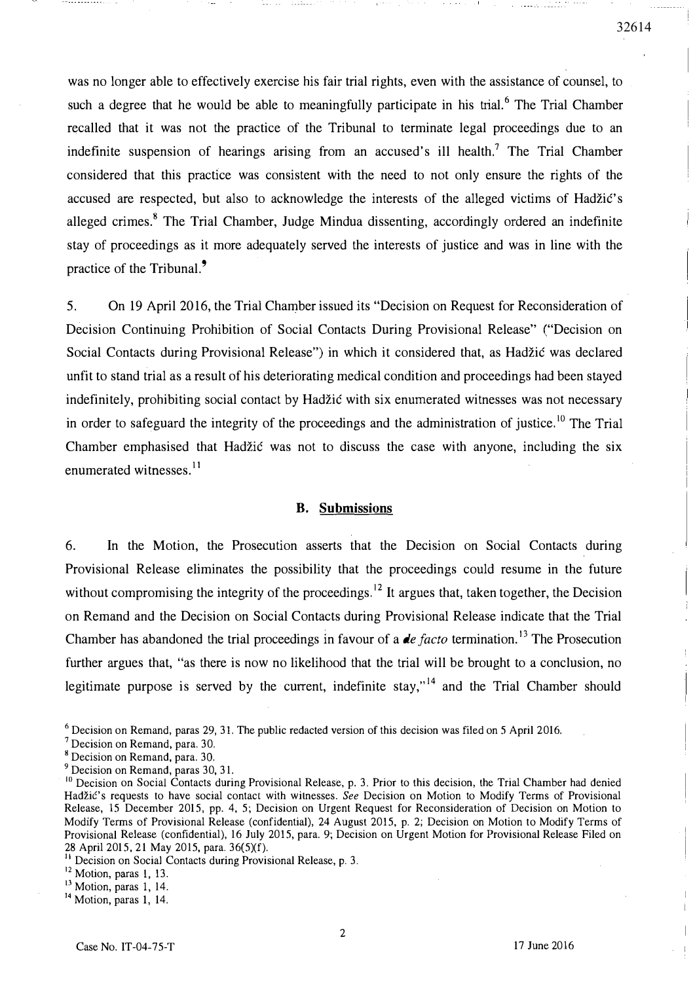was no longer able to effectively exercise his fair trial rights, even with the assistance of counsel, to such a degree that he would be able to meaningfully participate in his trial.<sup>6</sup> The Trial Chamber recalled that it was not the practice of the Tribunal to terminate legal proceedings due to an indefinite suspension of hearings arising from an accused's ill health.<sup>7</sup> The Trial Chamber considered that this practice was consistent with the need to not only ensure the rights of the accused are respected, but also to acknowledge the interests of the alleged victims of Hadzic's alleged crimes.<sup>8</sup> The Trial Chamber, Judge Mindua dissenting, accordingly ordered an indefinite stay of proceedings as it more adequately served the interests of justice and was in line with the practice of the Tribunal.<sup>9</sup>

5. On 19 April 2016, the Trial Chamber issued its "Decision on Request for Reconsideration of Decision Continuing Prohibition of Social Contacts During Provisional Release" ("Decision on Social Contacts during Provisional Release") in which it considered that, as Hadzic was declared unfit to stand trial as a result of his deteriorating medical condition and proceedings had been stayed indefinitely, prohibiting social contact by Hadzic with six enumerated witnesses was not necessary in order to safeguard the integrity of the proceedings and the administration of justice.<sup>10</sup> The Trial Chamber emphasised that Hadžić was not to discuss the case with anyone, including the six enumerated witnesses.<sup>11</sup>

#### B. Submissions

6. In the Motion, the Prosecution asserts that the Decision on Social Contacts during Provisional Release eliminates the possibility that the proceedings could resume in the future without compromising the integrity of the proceedings.<sup>12</sup> It argues that, taken together, the Decision on Remand and the Decision on Social Contacts during Provisional Release indicate that the Trial Chamber has abandoned the trial proceedings in favour of a *de facto* termination.<sup>13</sup> The Prosecution further argues that, "as there is now no likelihood that the trial will be brought to a conclusion, no legitimate purpose is served by the current, indefinite stay,"<sup>14</sup> and the Trial Chamber should

<sup>7</sup>Decision on Remand. para. 30.

<sup>12</sup> Motion, paras 1, 13.

32614

 $6$  Decision on Remand, paras 29, 31. The public redacted version of this decision was filed on 5 April 2016.

<sup>&</sup>lt;sup>8</sup> Decision on Remand, para. 30.

<sup>&</sup>lt;sup>9</sup> Decision on Remand, paras 30, 31.

<sup>&</sup>lt;sup>10</sup> Decision on Social Contacts during Provisional Release, p. 3. Prior to this decision, the Trial Chamber had denied Hadžić's requests to have social contact with witnesses. See Decision on Motion to Modify Terms of Provisional Release, 15 December 2015, pp. 4. 5; Decision on Urgent Request for Reconsideration of Decision on Motion to Modify Terms of Provisional Release (confidential), 24 August 2015. p. 2; Decision on Motion to Modify Terms of Provisional Release (confidential). 16 July 2015, para. 9; Decision on Urgent Motion for Provisional Release Filed on 28 April 2015. 21 May 2015, para. 36(5)(f).

<sup>&</sup>lt;sup>11</sup> Decision on Social Contacts during Provisional Release, p. 3.

 $\frac{13}{3}$  Motion, paras 1, 14.

<sup>&</sup>lt;sup>14</sup> Motion, paras 1, 14.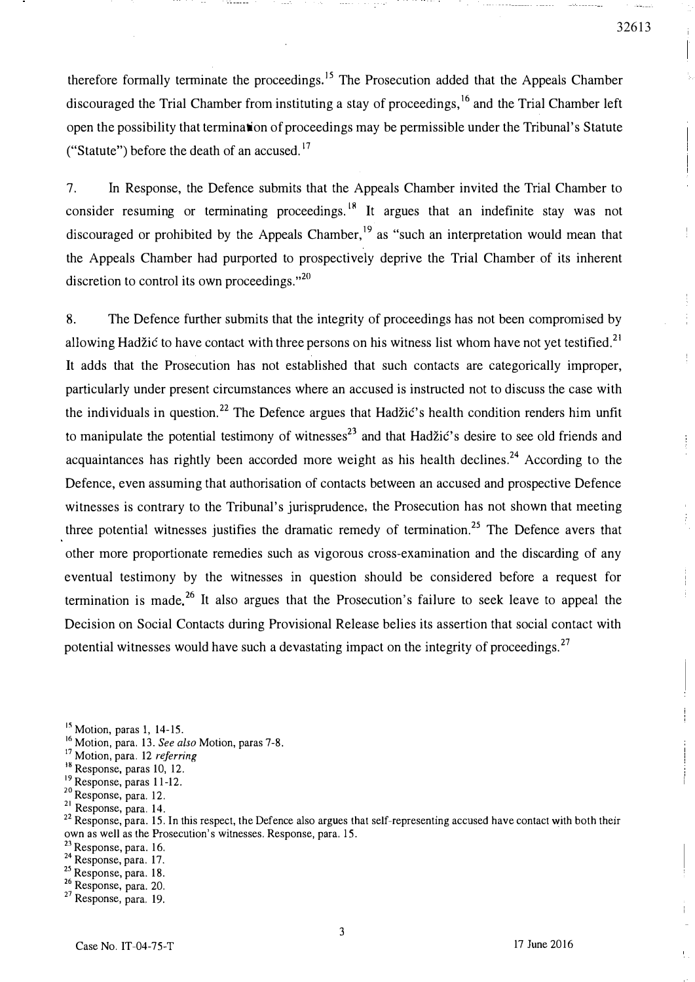therefore formally terminate the proceedings.<sup>15</sup> The Prosecution added that the Appeals Chamber discouraged the Trial Chamber from instituting a stay of proceedings, <sup>16</sup> and the Trial Chamber left open the possibility that termination of proceedings may be permissible under the Tribunal's Statute ("Statute") before the death of an accused.<sup>17</sup>

7. In Response, the Defence submits that the Appeals Chamber invited the Trial Chamber to consider resuming or terminating proceedings.<sup>18</sup> It argues that an indefinite stay was not discouraged or prohibited by the Appeals Chamber,<sup>19</sup> as "such an interpretation would mean that the Appeals Chamber had purported to prospectively deprive the Trial Chamber of its inherent discretion to control its own proceedings. $v^{20}$ 

8. The Defence further submits that the integrity of proceedings has not been compromised by allowing Hadžić to have contact with three persons on his witness list whom have not yet testified.<sup>21</sup> It adds that the Prosecution has not established that such contacts are categorically improper, particularly under present circumstances where an accused is instructed not to discuss the case with the individuals in question.<sup>22</sup> The Defence argues that Hadžić's health condition renders him unfit to manipulate the potential testimony of witnesses<sup>23</sup> and that Hadžić's desire to see old friends and acquaintances has rightly been accorded more weight as his health declines.<sup>24</sup> According to the Defence, even assuming that authorisation of contacts between an accused and prospective Defence witnesses is contrary to the Tribunal's jurisprudence, the Prosecution has not shown that meeting three potential witnesses justifies the dramatic remedy of termination.<sup>25</sup> The Defence avers that other more proportionate remedies such as vigorous cross-examination and the discarding of any eventual testimony by the witnesses in question should be considered before a request for termination is made.<sup>26</sup> It also argues that the Prosecution's failure to seek leave to appeal the Decision on Social Contacts during Provisional Release belies its assertion that social contact with potential witnesses would have such a devastating impact on the integrity of proceedings.  $27$ 

<sup>16</sup> Motion, para. 13. See also Motion, paras 7-8.

<sup>19</sup> Response, paras 11-12.

<sup>22</sup> Response, para. 15. In this respect, the Defence also argues that self-representing accused have contact with both their own as well as the Prosecution's witnesses. Response, para. 15.

<sup>23</sup> Response, para. 16.

- $^{24}$  Response, para. 17.<br> $^{25}$  Response, para. 18.
- 
- $26$  Response, para. 20.

32613

ł.

 $<sup>15</sup>$  Motion, paras 1, 14-15.</sup>

 $17$  Motion, para. 12 referring

<sup>&</sup>lt;sup>18</sup> Response, paras 10, 12.

<sup>&</sup>lt;sup>20</sup> Response, para. 12.

<sup>21</sup> Response, para. 14.

 $27$  Response, para. 19.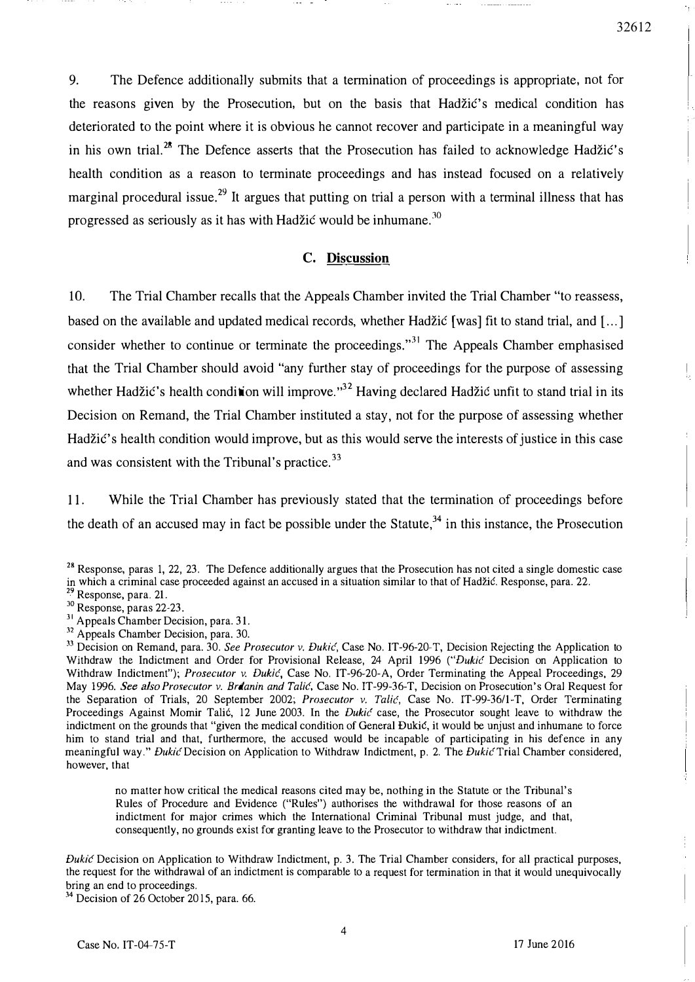9. The Defence additionally submits that a termination of proceedings is appropriate, not for the reasons given by the Prosecution, but on the basis that Hadžić's medical condition has deteriorated to the point where it is obvious he cannot recover and participate in a meaningful way in his own trial.<sup>28</sup> The Defence asserts that the Prosecution has failed to acknowledge Hadžić's health condition as a reason to terminate proceedings and has instead focused on a relatively marginal procedural issue.<sup>29</sup> It argues that putting on trial a person with a terminal illness that has progressed as seriously as it has with Hadžić would be inhumane.<sup>30</sup>

#### C. Discussion

10. The Trial Chamber recalls that the Appeals Chamber invited the Trial Chamber "to reassess, based on the available and updated medical records, whether Hadzic [was] fit to stand trial, and [ ... ] consider whether to continue or terminate the proceedings."<sup>31</sup> The Appeals Chamber emphasised that the Trial Chamber should avoid "any further stay of proceedings for the purpose of assessing whether Hadžić's health condition will improve.<sup>32</sup> Having declared Hadžić unfit to stand trial in its Decision on Remand, the Trial Chamber instituted a stay, not for the purpose of assessing whether Hadžić's health condition would improve, but as this would serve the interests of justice in this case and was consistent with the Tribunal's practice.<sup>33</sup>

11. While the Trial Chamber has previously stated that the termination of proceedings before the death of an accused may in fact be possible under the Statute,<sup>34</sup> in this instance, the Prosecution

no matter how critical the medical reasons cited may be, nothing in the Statute or the Tribunal's Rules of Procedure and Evidence ("Rules") authorises the withdrawal for those reasons of an indictment for major crimes which the International Criminal Tribunal must judge, and that, consequently, no grounds exist for granting leave to the Prosecutor to withdraw that indictment.

Dukić Decision on Application to Withdraw Indictment, p. 3. The Trial Chamber considers, for all practical purposes, the request for the withdrawal of an indictment is comparable to a request for termination in that it would unequivocally bring an end to proceedings.

<sup>34</sup> Decision of 26 October 2015, para. 66.

32612

 $28$  Response, paras 1, 22, 23. The Defence additionally argues that the Prosecution has not cited a single domestic case in which a criminal case proceeded against an accused in a situation similar to that of Hadžić. Response, para. 22.

<sup>&</sup>lt;sup>29</sup> Response, para. 21.

 $^{30}$  Response, paras 22-23.

<sup>&</sup>lt;sup>31</sup> Appeals Chamber Decision, para. 31.

<sup>&</sup>lt;sup>32</sup> Appeals Chamber Decision, para. 30.

<sup>&</sup>lt;sup>33</sup> Decision on Remand, para. 30. See Prosecutor v. Đukić, Case No. IT-96-20-T, Decision Rejecting the Application to Withdraw the Indictment and Order for Provisional Release, 24 April 1996 ("Dukic Decision on Application to Withdraw Indictment"); Prosecutor v. Dukić, Case No. IT-96-20-A, Order Terminating the Appeal Proceedings, 29 May 1996. See also Prosecutor v. Brdanin and Talic, Case No. IT-99-36-T, Decision on Prosecution's Oral Request for the Separation of Trials, 20 September 2002; Prosecutor v. Talić, Case No. IT-99-36/1-T, Order Terminating Proceedings Against Momir Talić, 12 June 2003. In the *Dukić* case, the Prosecutor sought leave to withdraw the indictment on the grounds that "given the medical condition of General Dukić, it would be unjust and inhumane to force him to stand trial and that, furthermore, the accused would be incapable of participating in his defence in any meaningful way." Dukić Decision on Application to Withdraw Indictment, p. 2. The Dukić Trial Chamber considered, however, that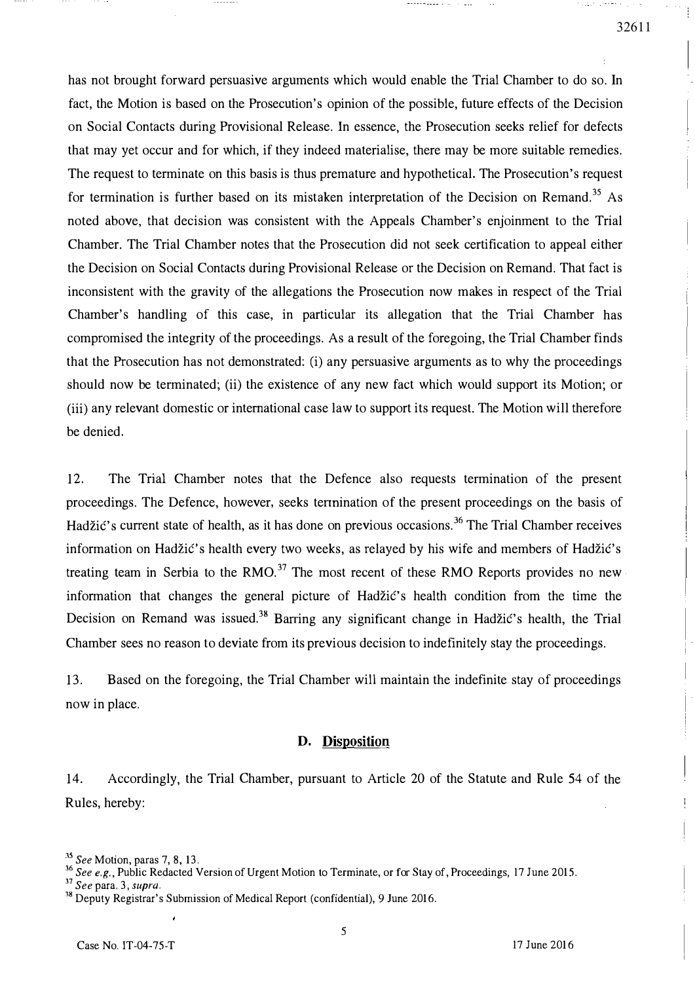has not brought forward persuasive arguments which would enable the Trial Chamber to do so. In fact, the Motion is based on the Prosecution's opinion of the possible, future effects of the Decision on Social Contacts during Provisional Release. In essence, the Prosecution seeks relief for defects that may yet occur and for which, if they indeed materialise, there may be more suitable remedies. The request to terminate on this basis is thus premature and hypothetical. The Prosecution's request for termination is further based on its mistaken interpretation of the Decision on Remand.<sup>35</sup> As noted above, that decision was consistent with the Appeals Chamber's enjoinment to the Trial Chamber. The Trial Chamber notes that the Prosecution did not seek certification to appeal either the Decision on Social Contacts during Provisional Release or the Decision on Remand. That fact is inconsistent with the gravity of the allegations the Prosecution now makes in respect of the Trial Chamber's handling of this case, in particular its allegation that the Trial Chamber has compromised the integrity of the proceedings. As a result of the foregoing, the Trial Chamber finds that the Prosecution has not demonstrated: (i) any persuasive arguments as to why the proceedings should now be terminated; (ii) the existence of any new fact which would support its Motion; or (iii) any relevant domestic or international case law to support its request. The Motion will therefore be denied.

12. The Trial Chamber notes that the Defence also requests termination of the present proceedings. The Defence, however, seeks tennination of the present proceedings on the basis of Hadžić's current state of health, as it has done on previous occasions.<sup>36</sup> The Trial Chamber receives information on Hadžić's health every two weeks, as relayed by his wife and members of Hadžić's treating team in Serbia to the RMO.<sup>37</sup> The most recent of these RMO Reports provides no new information that changes the general picture of Hadzic's health condition from the time the Decision on Remand was issued.<sup>38</sup> Barring any significant change in Hadžić's health, the Trial Chamber sees no reason to deviate from its previous decision to indefinitely stay the proceedings.

13. Based on the foregoing, the Trial Chamber will maintain the indefinite stay of proceedings now in place.

#### D. Disposition

14. Accordingly, the Trial Chamber, pursuant to Article 20 of the Statute and Rule 54 of the Rules, hereby:

<sup>&</sup>lt;sup>33</sup> See Motion, paras 7, 8, 13.

<sup>&</sup>lt;sup>36</sup> See e.g., Public Redacted Version of Urgent Motion to Terminate, or for Stay of, Proceedings, 17 June 2015.

 $37$  See para. 3, supra.<br> $38$  Deputy Registrar's Submission of Medical Report (confidential), 9 June 2016.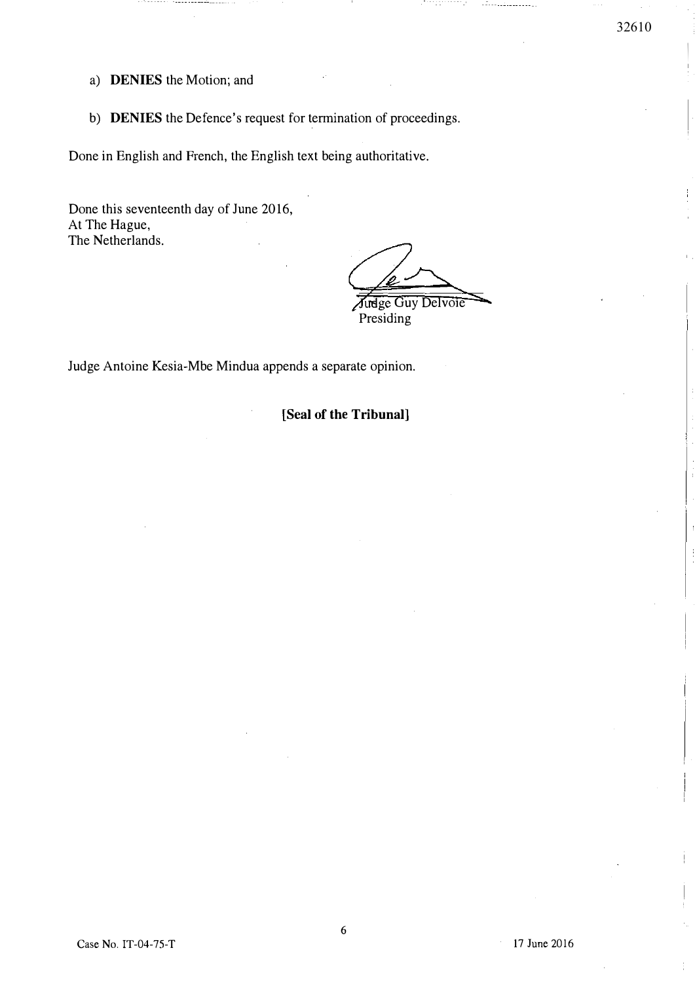$\overline{ }$ ,

- a) DENIES the Motion; and
- b) DENIES the Defence's request for termination of proceedings.

Done in English and French, the English text being authoritative.

Done this seventeenth day of June 2016, At The Hague, The Netherlands.

Judge Guy Delvoie Presiding<sup>1</sup>

Judge Antoine Kesia-Mbe Mindua appends a separate opinion.

[Seal of the Tribunal)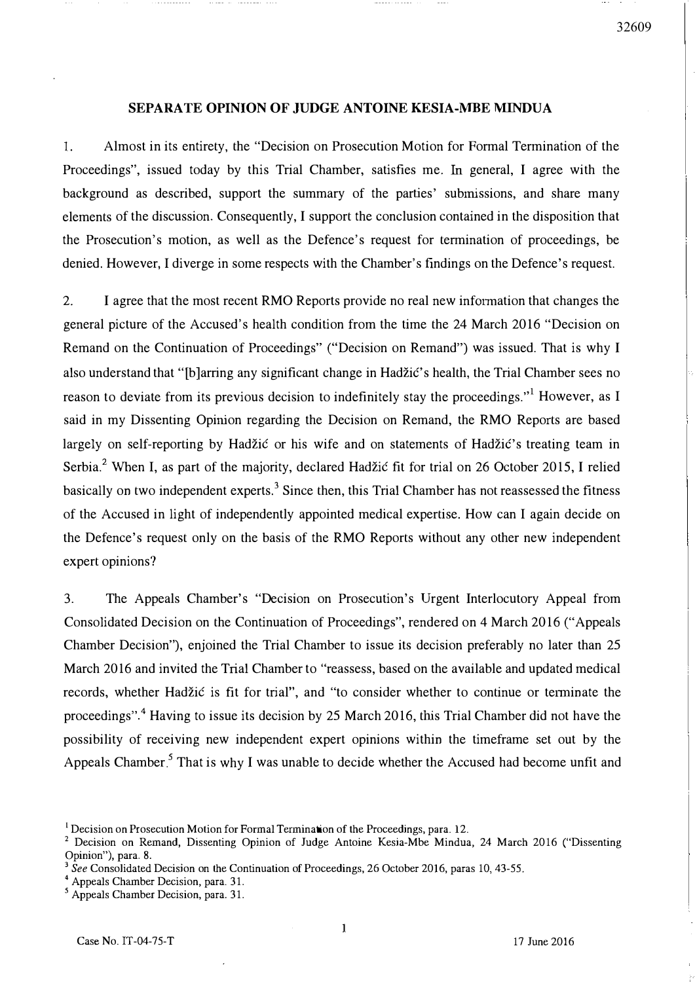### SEPARATE OPINION OF JUDGE ANTOINE KESIA-MBE MINDUA

1. Almost in its entirety, the "Decision on Prosecution Motion for Formal Termination of the Proceedings", issued today by this Trial Chamber, satisfies me. In general, I agree with the background as described, support the summary of the parties' submissions, and share many elements of the discussion. Consequently, I support the conclusion contained in the disposition that the Prosecution's motion, as well as the Defence's request for termination of proceedings, be denied. However, I diverge in some respects with the Chamber's findings on the Defence's request.

2. I agree that the most recent RMO Reports provide no real new information that changes the general picture of the Accused's health condition from the time the 24 March 2016 "Decision on Remand on the Continuation of Proceedings" ("Decision on Remand") was issued. That is why I also understand that "[b]arring any significant change in Hadžić's health, the Trial Chamber sees no reason to deviate from its previous decision to indefinitely stay the proceedings."<sup>1</sup> However, as I said in my Dissenting Opinion regarding the Decision on Remand, the RMO Reports are based largely on self-reporting by Hadžić or his wife and on statements of Hadžić's treating team in Serbia.<sup>2</sup> When I, as part of the majority, declared Hadžić fit for trial on 26 October 2015, I relied basically on two independent experts.<sup>3</sup> Since then, this Trial Chamber has not reassessed the fitness of the Accused in light of independently appointed medical expertise. How can I again decide on the Defence's request only on the basis of the RMO Reports without any other new independent expert opinions?

3. The Appeals Chamber's "Decision on Prosecution's Urgent Interlocutory Appeal from Consolidated Decision on the Continuation of Proceedings", rendered on 4 March 2016 ("Appeals Chamber Decision"), enjoined the Trial Chamber to issue its decision preferably no later than 25 March 2016 and invited the Trial Chamber to "reassess, based on the available and updated medical records, whether Hadžić is fit for trial", and "to consider whether to continue or terminate the proceedings".<sup>4</sup> Having to issue its decision by 25 March 2016, this Trial Chamber did not have the possibility of receiving new independent expert opinions within the timeframe set out by the Appeals Chamber<sup>5</sup> That is why I was unable to decide whether the Accused had become unfit and

<sup>&</sup>lt;sup>1</sup> Decision on Prosecution Motion for Formal Termination of the Proceedings, para. 12.

<sup>&</sup>lt;sup>2</sup> Decision on Remand, Dissenting Opinion of Judge Antoine Kesia-Mbe Mindua, 24 March 2016 ("Dissenting Opinion"), para. 8.

<sup>&</sup>lt;sup>3</sup> See Consolidated Decision on the Continuation of Proceedings, 26 October 2016, paras 10, 43-55.

Appeals Chamber Decision, para. 31.

Appeals Chamber Decision, para. 31.